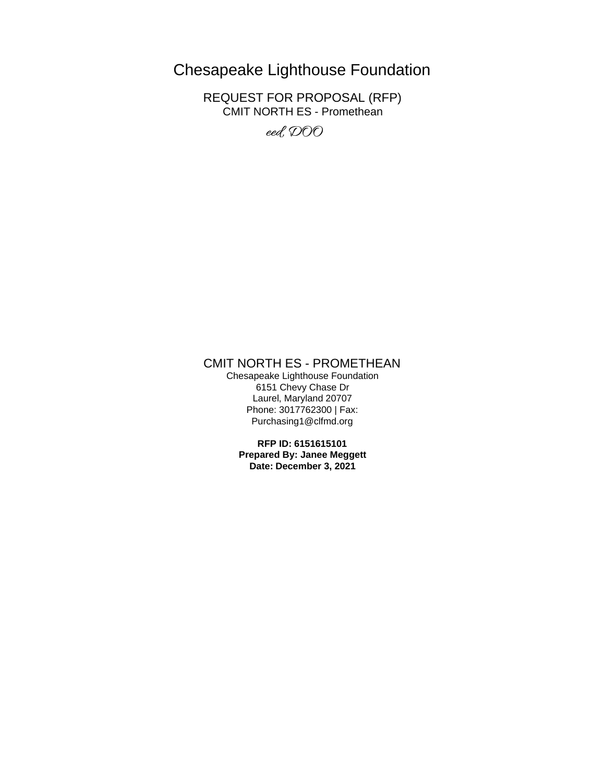# Chesapeake Lighthouse Foundation

REQUEST FOR PROPOSAL (RFP) CMIT NORTH ES - Promethean

eed, DOO

## CMIT NORTH ES - PROMETHEAN

Chesapeake Lighthouse Foundation 6151 Chevy Chase Dr Laurel, Maryland 20707 Phone: 3017762300 | Fax: Purchasing1@clfmd.org

> **RFP ID: 6151615101 Prepared By: Janee Meggett Date: December 3, 2021**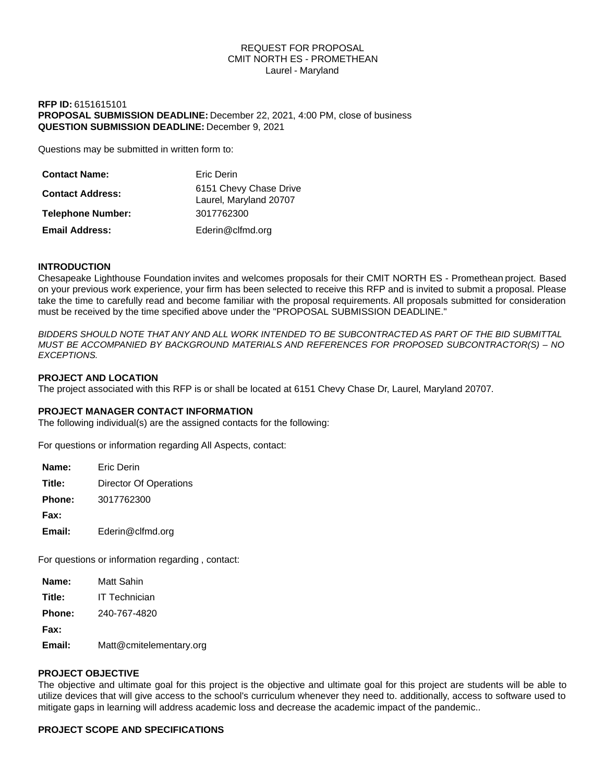## REQUEST FOR PROPOSAL CMIT NORTH ES - PROMETHEAN Laurel - Maryland

## **RFP ID:** 6151615101 **PROPOSAL SUBMISSION DEADLINE:** December 22, 2021, 4:00 PM, close of business **QUESTION SUBMISSION DEADLINE:** December 9, 2021

Questions may be submitted in written form to:

| <b>Contact Name:</b>     | Eric Derin                                       |
|--------------------------|--------------------------------------------------|
| <b>Contact Address:</b>  | 6151 Chevy Chase Drive<br>Laurel, Maryland 20707 |
| <b>Telephone Number:</b> | 3017762300                                       |
| <b>Email Address:</b>    | Ederin@clfmd.org                                 |

## **INTRODUCTION**

Chesapeake Lighthouse Foundation invites and welcomes proposals for their CMIT NORTH ES - Promethean project. Based on your previous work experience, your firm has been selected to receive this RFP and is invited to submit a proposal. Please take the time to carefully read and become familiar with the proposal requirements. All proposals submitted for consideration must be received by the time specified above under the "PROPOSAL SUBMISSION DEADLINE."

*BIDDERS SHOULD NOTE THAT ANY AND ALL WORK INTENDED TO BE SUBCONTRACTED AS PART OF THE BID SUBMITTAL MUST BE ACCOMPANIED BY BACKGROUND MATERIALS AND REFERENCES FOR PROPOSED SUBCONTRACTOR(S) – NO EXCEPTIONS.*

## **PROJECT AND LOCATION**

The project associated with this RFP is or shall be located at 6151 Chevy Chase Dr, Laurel, Maryland 20707.

## **PROJECT MANAGER CONTACT INFORMATION**

The following individual(s) are the assigned contacts for the following:

For questions or information regarding All Aspects, contact:

| Name:         | <b>Fric Derin</b>      |
|---------------|------------------------|
| Title:        | Director Of Operations |
| <b>Phone:</b> | 3017762300             |
| Fax:          |                        |
| Email:        | Ederin@clfmd.org       |

For questions or information regarding , contact:

| Name:  | Matt Sahin              |
|--------|-------------------------|
| Title: | <b>IT Technician</b>    |
| Phone: | 240-767-4820            |
| Fax:   |                         |
| Email: | Matt@cmitelementary.org |
|        |                         |

## **PROJECT OBJECTIVE**

The objective and ultimate goal for this project is the objective and ultimate goal for this project are students will be able to utilize devices that will give access to the school's curriculum whenever they need to. additionally, access to software used to mitigate gaps in learning will address academic loss and decrease the academic impact of the pandemic..

## **PROJECT SCOPE AND SPECIFICATIONS**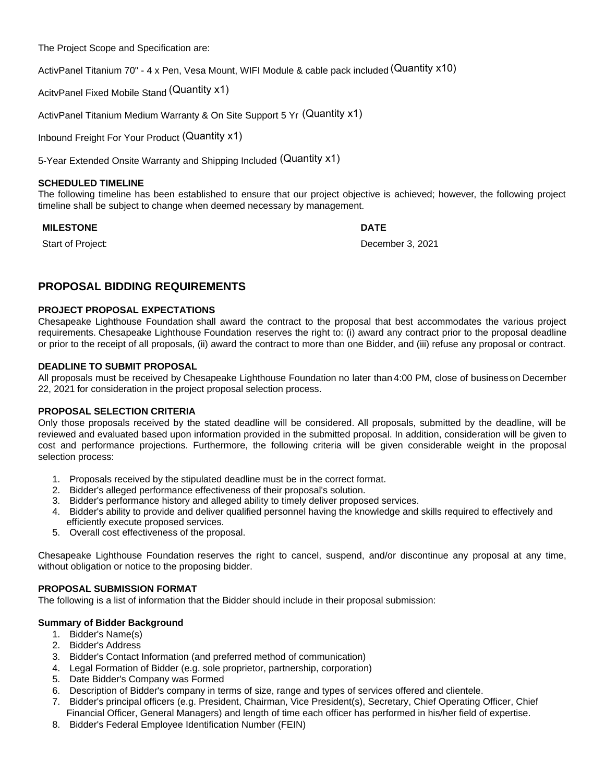The Project Scope and Specification are:

ActivPanel Titanium 70" - 4 x Pen, Vesa Mount, WIFI Module & cable pack included (Quantity x10)

AcitvPanel Fixed Mobile Stand (Quantity x1)

ActivPanel Titanium Medium Warranty & On Site Support 5 Yr (Quantity x1)

Inbound Freight For Your Product (Quantity x1)

5-Year Extended Onsite Warranty and Shipping Included (Quantity x1)

## **SCHEDULED TIMELINE**

The following timeline has been established to ensure that our project objective is achieved; however, the following project timeline shall be subject to change when deemed necessary by management.

## **MILESTONE DATE**

Start of Project: December 3, 2021

# **PROPOSAL BIDDING REQUIREMENTS**

## **PROJECT PROPOSAL EXPECTATIONS**

Chesapeake Lighthouse Foundation shall award the contract to the proposal that best accommodates the various project requirements. Chesapeake Lighthouse Foundation reserves the right to: (i) award any contract prior to the proposal deadline or prior to the receipt of all proposals, (ii) award the contract to more than one Bidder, and (iii) refuse any proposal or contract.

## **DEADLINE TO SUBMIT PROPOSAL**

All proposals must be received by Chesapeake Lighthouse Foundation no later than 4:00 PM, close of business on December 22, 2021 for consideration in the project proposal selection process.

## **PROPOSAL SELECTION CRITERIA**

Only those proposals received by the stated deadline will be considered. All proposals, submitted by the deadline, will be reviewed and evaluated based upon information provided in the submitted proposal. In addition, consideration will be given to cost and performance projections. Furthermore, the following criteria will be given considerable weight in the proposal selection process:

- 1. Proposals received by the stipulated deadline must be in the correct format.
- 2. Bidder's alleged performance effectiveness of their proposal's solution.
- 3. Bidder's performance history and alleged ability to timely deliver proposed services.
- 4. Bidder's ability to provide and deliver qualified personnel having the knowledge and skills required to effectively and efficiently execute proposed services.
- 5. Overall cost effectiveness of the proposal.

Chesapeake Lighthouse Foundation reserves the right to cancel, suspend, and/or discontinue any proposal at any time, without obligation or notice to the proposing bidder.

## **PROPOSAL SUBMISSION FORMAT**

The following is a list of information that the Bidder should include in their proposal submission:

## **Summary of Bidder Background**

- 1. Bidder's Name(s)
- 2. Bidder's Address
- 3. Bidder's Contact Information (and preferred method of communication)
- 4. Legal Formation of Bidder (e.g. sole proprietor, partnership, corporation)
- 5. Date Bidder's Company was Formed
- 6. Description of Bidder's company in terms of size, range and types of services offered and clientele.
- 7. Bidder's principal officers (e.g. President, Chairman, Vice President(s), Secretary, Chief Operating Officer, Chief Financial Officer, General Managers) and length of time each officer has performed in his/her field of expertise.
- 8. Bidder's Federal Employee Identification Number (FEIN)